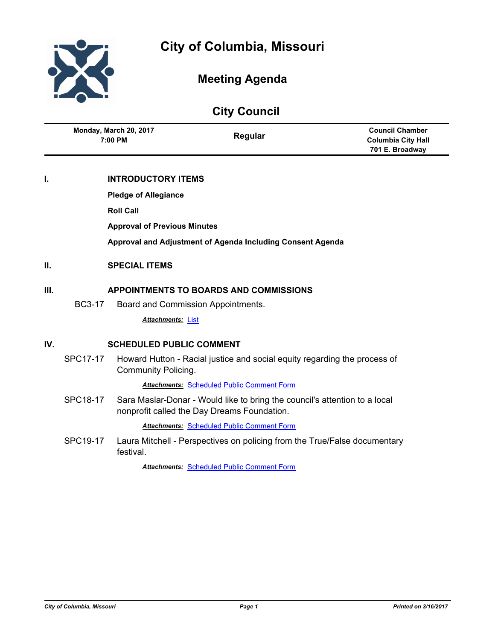

# **Meeting Agenda**

| <b>City Council</b> |                                   |                                               |                                                                                                                           |                                                                        |  |
|---------------------|-----------------------------------|-----------------------------------------------|---------------------------------------------------------------------------------------------------------------------------|------------------------------------------------------------------------|--|
|                     | Monday, March 20, 2017<br>7:00 PM |                                               | Regular                                                                                                                   | <b>Council Chamber</b><br><b>Columbia City Hall</b><br>701 E. Broadway |  |
| I.                  | <b>INTRODUCTORY ITEMS</b>         |                                               |                                                                                                                           |                                                                        |  |
|                     |                                   | <b>Pledge of Allegiance</b>                   |                                                                                                                           |                                                                        |  |
|                     |                                   | <b>Roll Call</b>                              |                                                                                                                           |                                                                        |  |
|                     |                                   | <b>Approval of Previous Minutes</b>           |                                                                                                                           |                                                                        |  |
|                     |                                   |                                               | Approval and Adjustment of Agenda Including Consent Agenda                                                                |                                                                        |  |
| II.                 | <b>SPECIAL ITEMS</b>              |                                               |                                                                                                                           |                                                                        |  |
| III.                |                                   | <b>APPOINTMENTS TO BOARDS AND COMMISSIONS</b> |                                                                                                                           |                                                                        |  |
|                     | <b>BC3-17</b>                     |                                               | Board and Commission Appointments.                                                                                        |                                                                        |  |
|                     |                                   | <b>Attachments: List</b>                      |                                                                                                                           |                                                                        |  |
| IV.                 | <b>SCHEDULED PUBLIC COMMENT</b>   |                                               |                                                                                                                           |                                                                        |  |
|                     | SPC17-17                          | <b>Community Policing.</b>                    | Howard Hutton - Racial justice and social equity regarding the process of                                                 |                                                                        |  |
|                     |                                   |                                               | <b>Attachments: Scheduled Public Comment Form</b>                                                                         |                                                                        |  |
|                     | <b>SPC18-17</b>                   |                                               | Sara Maslar-Donar - Would like to bring the council's attention to a local<br>nonprofit called the Day Dreams Foundation. |                                                                        |  |
|                     |                                   |                                               | <b>Attachments: Scheduled Public Comment Form</b>                                                                         |                                                                        |  |
|                     | SPC19-17                          |                                               | Laura Mitchell - Perspectives on policing from the True/False documentary                                                 |                                                                        |  |

festival.

**Attachments: [Scheduled Public Comment Form](http://gocolumbiamo.legistar.com/gateway.aspx?M=F&ID=0fae91f3-6fb0-4c3c-8fc5-1e740e0ec52a.pdf)**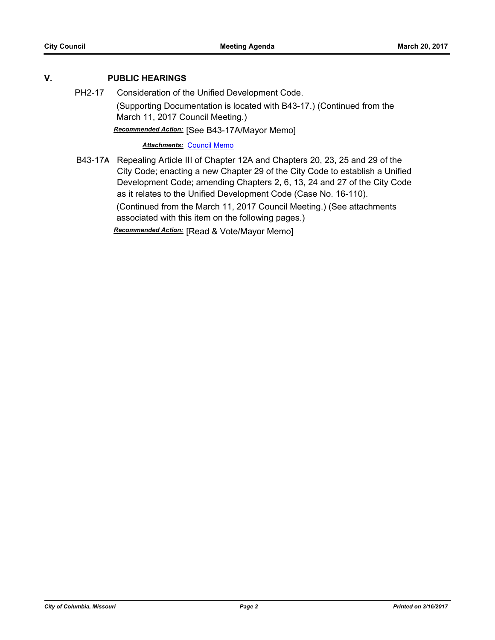# **V. PUBLIC HEARINGS**

PH2-17 Consideration of the Unified Development Code.

(Supporting Documentation is located with B43-17.) (Continued from the March 11, 2017 Council Meeting.)

*Recommended Action:* [See B43-17A/Mayor Memo]

# *Attachments:* [Council Memo](http://gocolumbiamo.legistar.com/gateway.aspx?M=F&ID=a6e1569d-6127-4403-8f1a-c7d2e22e1a84.docx)

B43-17**A** Repealing Article III of Chapter 12A and Chapters 20, 23, 25 and 29 of the City Code; enacting a new Chapter 29 of the City Code to establish a Unified Development Code; amending Chapters 2, 6, 13, 24 and 27 of the City Code as it relates to the Unified Development Code (Case No. 16-110). (Continued from the March 11, 2017 Council Meeting.) (See attachments associated with this item on the following pages.)

*Recommended Action:* [Read & Vote/Mayor Memo]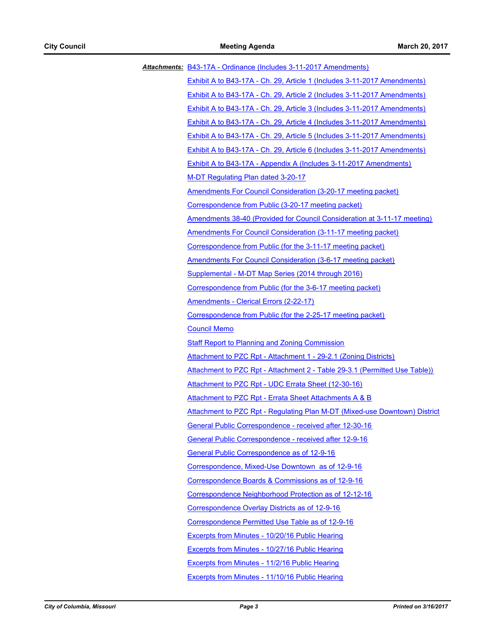| Attachments: B43-17A - Ordinance (Includes 3-11-2017 Amendments)                |  |  |  |
|---------------------------------------------------------------------------------|--|--|--|
| Exhibit A to B43-17A - Ch. 29, Article 1 (Includes 3-11-2017 Amendments)        |  |  |  |
| <b>Exhibit A to B43-17A - Ch. 29, Article 2 (Includes 3-11-2017 Amendments)</b> |  |  |  |
| Exhibit A to B43-17A - Ch. 29, Article 3 (Includes 3-11-2017 Amendments)        |  |  |  |
| Exhibit A to B43-17A - Ch. 29, Article 4 (Includes 3-11-2017 Amendments)        |  |  |  |
| Exhibit A to B43-17A - Ch. 29, Article 5 (Includes 3-11-2017 Amendments)        |  |  |  |
| <b>Exhibit A to B43-17A - Ch. 29, Article 6 (Includes 3-11-2017 Amendments)</b> |  |  |  |
| Exhibit A to B43-17A - Appendix A (Includes 3-11-2017 Amendments)               |  |  |  |
| M-DT Regulating Plan dated 3-20-17                                              |  |  |  |
| Amendments For Council Consideration (3-20-17 meeting packet)                   |  |  |  |
| Correspondence from Public (3-20-17 meeting packet)                             |  |  |  |
| Amendments 38-40 (Provided for Council Consideration at 3-11-17 meeting)        |  |  |  |
| <b>Amendments For Council Consideration (3-11-17 meeting packet)</b>            |  |  |  |
| Correspondence from Public (for the 3-11-17 meeting packet)                     |  |  |  |
| <b>Amendments For Council Consideration (3-6-17 meeting packet)</b>             |  |  |  |
| Supplemental - M-DT Map Series (2014 through 2016)                              |  |  |  |
| Correspondence from Public (for the 3-6-17 meeting packet)                      |  |  |  |
| <b>Amendments - Clerical Errors (2-22-17)</b>                                   |  |  |  |
| Correspondence from Public (for the 2-25-17 meeting packet)                     |  |  |  |
| <b>Council Memo</b>                                                             |  |  |  |
| Staff Report to Planning and Zoning Commission                                  |  |  |  |
| Attachment to PZC Rpt - Attachment 1 - 29-2.1 (Zoning Districts)                |  |  |  |
| Attachment to PZC Rpt - Attachment 2 - Table 29-3.1 (Permitted Use Table))      |  |  |  |
| Attachment to PZC Rpt - UDC Errata Sheet (12-30-16)                             |  |  |  |
| Attachment to PZC Rpt - Errata Sheet Attachments A & B                          |  |  |  |
| Attachment to PZC Rpt - Regulating Plan M-DT (Mixed-use Downtown) District      |  |  |  |
| General Public Correspondence - received after 12-30-16                         |  |  |  |
| General Public Correspondence - received after 12-9-16                          |  |  |  |
| General Public Correspondence as of 12-9-16                                     |  |  |  |
| Correspondence, Mixed-Use Downtown as of 12-9-16                                |  |  |  |
| Correspondence Boards & Commissions as of 12-9-16                               |  |  |  |
| Correspondence Neighborhood Protection as of 12-12-16                           |  |  |  |
| Correspondence Overlay Districts as of 12-9-16                                  |  |  |  |
| Correspondence Permitted Use Table as of 12-9-16                                |  |  |  |
| <b>Excerpts from Minutes - 10/20/16 Public Hearing</b>                          |  |  |  |
| <b>Excerpts from Minutes - 10/27/16 Public Hearing</b>                          |  |  |  |
| <b>Excerpts from Minutes - 11/2/16 Public Hearing</b>                           |  |  |  |
| Excerpts from Minutes - 11/10/16 Public Hearing                                 |  |  |  |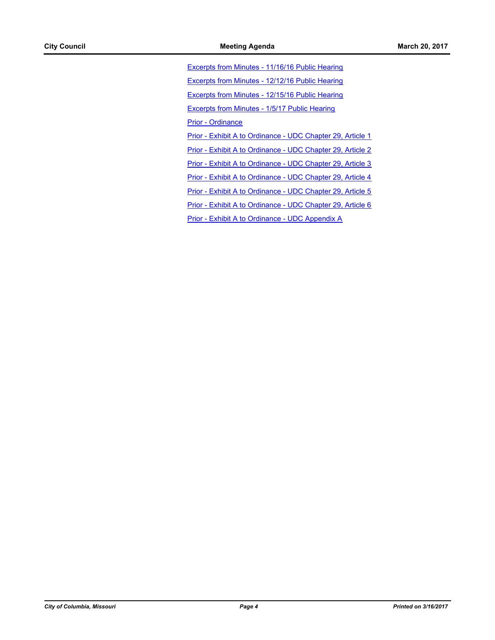[Excerpts from Minutes - 11/16/16 Public Hearing](http://gocolumbiamo.legistar.com/gateway.aspx?M=F&ID=ac540c5a-5ccc-491a-aada-77e009d72c25.docx)

[Excerpts from Minutes - 12/12/16 Public Hearing](http://gocolumbiamo.legistar.com/gateway.aspx?M=F&ID=759b031b-5834-4039-a800-22ae2afee73b.docx)

[Excerpts from Minutes - 12/15/16 Public Hearing](http://gocolumbiamo.legistar.com/gateway.aspx?M=F&ID=e4563f3f-e569-44e3-b5e5-5ee6812fc325.docx)

[Excerpts from Minutes - 1/5/17 Public Hearing](http://gocolumbiamo.legistar.com/gateway.aspx?M=F&ID=56c84593-9c2d-41ed-873e-7399d8aac3e4.docx)

[Prior - Ordinance](http://gocolumbiamo.legistar.com/gateway.aspx?M=F&ID=f4ec269a-c5ad-46d2-bbfd-bfb8fd8b23e6.doc)

[Prior - Exhibit A to Ordinance - UDC Chapter 29, Article 1](http://gocolumbiamo.legistar.com/gateway.aspx?M=F&ID=8f7b1b0d-818c-4c0f-a485-63e5dc2e6edf.pdf)

[Prior - Exhibit A to Ordinance - UDC Chapter 29, Article 2](http://gocolumbiamo.legistar.com/gateway.aspx?M=F&ID=7852b854-4230-459c-8679-e256a6f3185f.pdf)

[Prior - Exhibit A to Ordinance - UDC Chapter 29, Article 3](http://gocolumbiamo.legistar.com/gateway.aspx?M=F&ID=a68796f1-5e8e-4a61-97f9-ed85833e2a37.pdf)

[Prior - Exhibit A to Ordinance - UDC Chapter 29, Article 4](http://gocolumbiamo.legistar.com/gateway.aspx?M=F&ID=396d3ce2-18b2-4883-9b8a-12aba45a6be8.pdf)

[Prior - Exhibit A to Ordinance - UDC Chapter 29, Article 5](http://gocolumbiamo.legistar.com/gateway.aspx?M=F&ID=76d68518-96a7-45c2-b8ee-c67eb1638464.pdf)

[Prior - Exhibit A to Ordinance - UDC Chapter 29, Article 6](http://gocolumbiamo.legistar.com/gateway.aspx?M=F&ID=20219d4e-4acd-4dc2-8b1d-0d2f8df99bee.pdf)

[Prior - Exhibit A to Ordinance - UDC Appendix A](http://gocolumbiamo.legistar.com/gateway.aspx?M=F&ID=3c3b1207-832e-4f32-8845-2aaeebe4f60c.pdf)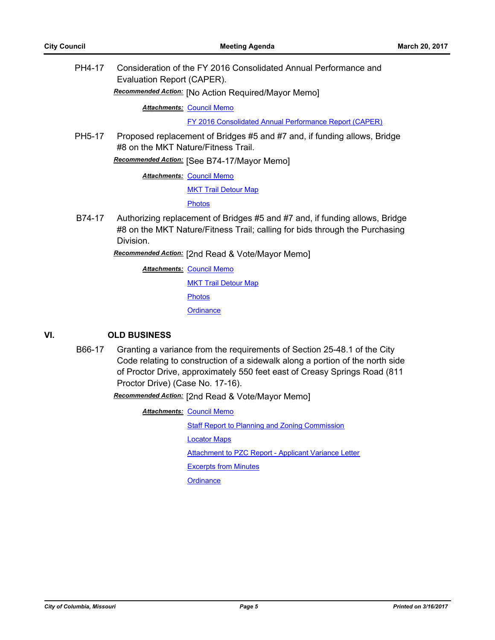PH4-17 Consideration of the FY 2016 Consolidated Annual Performance and Evaluation Report (CAPER).

*Recommended Action:* [No Action Required/Mayor Memo]

**Attachments: [Council Memo](http://gocolumbiamo.legistar.com/gateway.aspx?M=F&ID=09297073-d239-4e53-a91b-518adf252964.docx)** 

[FY 2016 Consolidated Annual Performance Report \(CAPER\)](http://gocolumbiamo.legistar.com/gateway.aspx?M=F&ID=49dd4b7d-ad81-4914-b0a8-6a04e4ae5fdc.docx)

PH5-17 Proposed replacement of Bridges #5 and #7 and, if funding allows, Bridge #8 on the MKT Nature/Fitness Trail.

*Recommended Action:* [See B74-17/Mayor Memo]

**Attachments: [Council Memo](http://gocolumbiamo.legistar.com/gateway.aspx?M=F&ID=f64c3595-bb30-4f3e-bb01-67e24f526a16.docx)** 

[MKT Trail Detour Map](http://gocolumbiamo.legistar.com/gateway.aspx?M=F&ID=71f46e0a-1f4d-476c-8337-e5254eb4aa94.pdf)

**[Photos](http://gocolumbiamo.legistar.com/gateway.aspx?M=F&ID=e1050f3d-3118-4006-8f7a-c5b87d620c15.pdf)** 

B74-17 Authorizing replacement of Bridges #5 and #7 and, if funding allows, Bridge #8 on the MKT Nature/Fitness Trail; calling for bids through the Purchasing Division.

*Recommended Action:* [2nd Read & Vote/Mayor Memo]

**Attachments: [Council Memo](http://gocolumbiamo.legistar.com/gateway.aspx?M=F&ID=4303e3a0-1342-4fd5-94e4-c321bedd3a28.docx)** [MKT Trail Detour Map](http://gocolumbiamo.legistar.com/gateway.aspx?M=F&ID=f9b79901-c34a-4085-967f-4cb83076d609.pdf) **[Photos](http://gocolumbiamo.legistar.com/gateway.aspx?M=F&ID=a9427b37-044f-40b1-ac6a-acf004ce4440.pdf)** 

**[Ordinance](http://gocolumbiamo.legistar.com/gateway.aspx?M=F&ID=d0c05e0f-c5a5-42c2-a5e4-fe6af02b3fdd.doc)** 

## **VI. OLD BUSINESS**

B66-17 Granting a variance from the requirements of Section 25-48.1 of the City Code relating to construction of a sidewalk along a portion of the north side of Proctor Drive, approximately 550 feet east of Creasy Springs Road (811 Proctor Drive) (Case No. 17-16).

*Recommended Action:* [2nd Read & Vote/Mayor Memo]

**Attachments: [Council Memo](http://gocolumbiamo.legistar.com/gateway.aspx?M=F&ID=dab6cd84-ccec-4f85-8c78-ddc328dbf9be.docx)** [Staff Report to Planning and Zoning Commission](http://gocolumbiamo.legistar.com/gateway.aspx?M=F&ID=e8307dbe-79dc-4270-92b6-199cdb85dc2a.pdf) [Locator Maps](http://gocolumbiamo.legistar.com/gateway.aspx?M=F&ID=bbcfb64b-93bc-495a-b9ca-7043ad20bb31.pdf) **[Attachment to PZC Report - Applicant Variance Letter](http://gocolumbiamo.legistar.com/gateway.aspx?M=F&ID=9649d3b3-aded-4043-8fbf-8d6a9c55bf47.pdf)** [Excerpts from Minutes](http://gocolumbiamo.legistar.com/gateway.aspx?M=F&ID=0549a2ad-7b95-477a-ad28-fb1e2984f9d6.docx) **[Ordinance](http://gocolumbiamo.legistar.com/gateway.aspx?M=F&ID=94982b19-cfe7-457a-9b97-c7cc7b6d8757.doc)**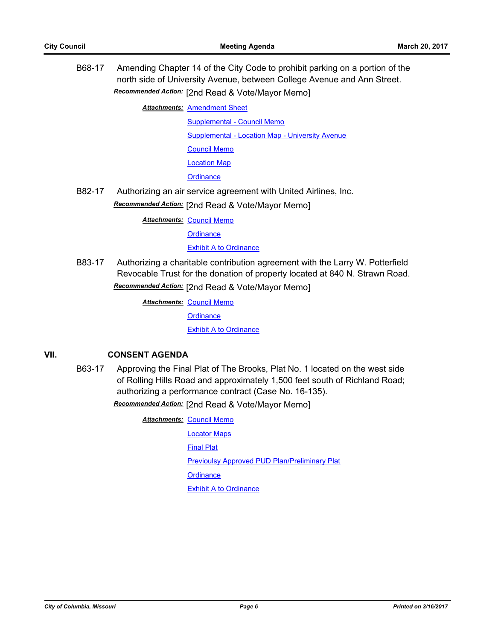B68-17 Amending Chapter 14 of the City Code to prohibit parking on a portion of the north side of University Avenue, between College Avenue and Ann Street. *Recommended Action:* [2nd Read & Vote/Mayor Memo]

**Attachments: [Amendment Sheet](http://gocolumbiamo.legistar.com/gateway.aspx?M=F&ID=0ea4a472-5a37-477a-8cfc-368d686844c6.doc)** 

[Supplemental - Council Memo](http://gocolumbiamo.legistar.com/gateway.aspx?M=F&ID=d995cc6d-50ff-4668-9626-5d10b8b17c2c.docx) [Supplemental - Location Map - University Avenue](http://gocolumbiamo.legistar.com/gateway.aspx?M=F&ID=b2d274da-c7cb-4ca4-8fd7-1b1489ea84b6.pdf) [Council Memo](http://gocolumbiamo.legistar.com/gateway.aspx?M=F&ID=a222527a-cc80-41cd-9f48-9a1ac82834af.docx)

[Location Map](http://gocolumbiamo.legistar.com/gateway.aspx?M=F&ID=0c5fe6bf-d828-41a0-9c06-a2b8d180864f.pdf)

**[Ordinance](http://gocolumbiamo.legistar.com/gateway.aspx?M=F&ID=eede7b1d-e028-40da-b13a-f425a8a12068.doc)** 

B82-17 Authorizing an air service agreement with United Airlines, Inc.

*Recommended Action:* [2nd Read & Vote/Mayor Memo]

**Attachments: [Council Memo](http://gocolumbiamo.legistar.com/gateway.aspx?M=F&ID=5ca27d7b-6968-4b97-afff-3776b76925ff.docx)** 

**[Ordinance](http://gocolumbiamo.legistar.com/gateway.aspx?M=F&ID=be2be1f5-3405-449f-b3b5-94231281f56f.doc)** 

[Exhibit A to Ordinance](http://gocolumbiamo.legistar.com/gateway.aspx?M=F&ID=5e6e6c10-da13-455a-8003-d04efdc9001b.pdf)

B83-17 Authorizing a charitable contribution agreement with the Larry W. Potterfield Revocable Trust for the donation of property located at 840 N. Strawn Road. *Recommended Action:* [2nd Read & Vote/Mayor Memo]

> **Attachments: [Council Memo](http://gocolumbiamo.legistar.com/gateway.aspx?M=F&ID=a9c031b8-964a-4e9f-8c09-54e0558b96ce.docx) [Ordinance](http://gocolumbiamo.legistar.com/gateway.aspx?M=F&ID=567d31aa-eb7d-47e6-a44e-355801b17b1c.doc) [Exhibit A to Ordinance](http://gocolumbiamo.legistar.com/gateway.aspx?M=F&ID=d3b50c9d-427a-430b-b4d8-6b7be87a7a17.pdf)**

## **VII. CONSENT AGENDA**

B63-17 Approving the Final Plat of The Brooks, Plat No. 1 located on the west side of Rolling Hills Road and approximately 1,500 feet south of Richland Road; authorizing a performance contract (Case No. 16-135).

*Recommended Action:* [2nd Read & Vote/Mayor Memo]

**Attachments: [Council Memo](http://gocolumbiamo.legistar.com/gateway.aspx?M=F&ID=f7b581c2-87da-403c-8d2a-3c867865065e.docx)** [Locator Maps](http://gocolumbiamo.legistar.com/gateway.aspx?M=F&ID=7f8f4ff7-ac95-49b6-b6f9-b04c759e9066.pdf) [Final Plat](http://gocolumbiamo.legistar.com/gateway.aspx?M=F&ID=db1aa1b6-04c5-4a61-9ca2-f3ac1350666d.pdf) [Previoulsy Approved PUD Plan/Preliminary Plat](http://gocolumbiamo.legistar.com/gateway.aspx?M=F&ID=f85c5400-85fe-4ae8-aa5a-2705fb214f60.pdf) **[Ordinance](http://gocolumbiamo.legistar.com/gateway.aspx?M=F&ID=d6b2d043-769d-400a-96f9-6c6011729460.doc)** [Exhibit A to Ordinance](http://gocolumbiamo.legistar.com/gateway.aspx?M=F&ID=d3f2ea75-56a5-4ccb-9a53-fa79f8cab7ea.pdf)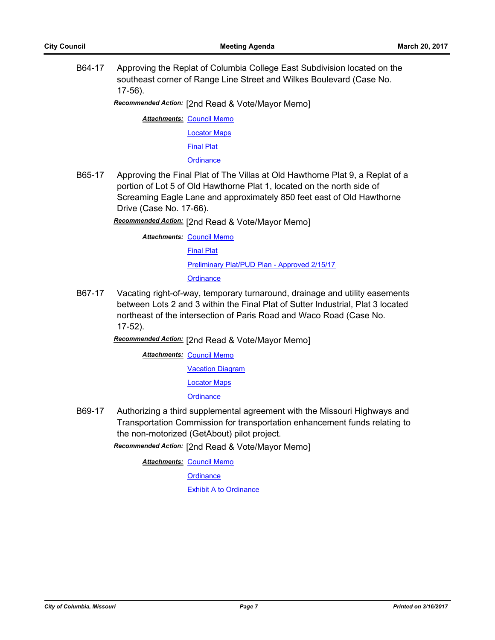B64-17 Approving the Replat of Columbia College East Subdivision located on the southeast corner of Range Line Street and Wilkes Boulevard (Case No. 17-56).

*Recommended Action:* [2nd Read & Vote/Mayor Memo]

**Attachments: [Council Memo](http://gocolumbiamo.legistar.com/gateway.aspx?M=F&ID=83d7eae4-c0fd-4d9c-a61e-e1dad8afa5da.docx)** 

- [Locator Maps](http://gocolumbiamo.legistar.com/gateway.aspx?M=F&ID=085846a4-eaae-4243-8cea-ddd7a9f14a51.pdf)
- [Final Plat](http://gocolumbiamo.legistar.com/gateway.aspx?M=F&ID=6fbe8369-5859-4876-ad53-a9430ca1fd86.pdf)

**[Ordinance](http://gocolumbiamo.legistar.com/gateway.aspx?M=F&ID=dcfa8cda-5b52-4b77-89e3-5383d7fa3b54.doc)** 

B65-17 Approving the Final Plat of The Villas at Old Hawthorne Plat 9, a Replat of a portion of Lot 5 of Old Hawthorne Plat 1, located on the north side of Screaming Eagle Lane and approximately 850 feet east of Old Hawthorne Drive (Case No. 17-66).

*Recommended Action:* [2nd Read & Vote/Mayor Memo]

**Attachments: [Council Memo](http://gocolumbiamo.legistar.com/gateway.aspx?M=F&ID=f57e471f-65c1-4b20-ae35-cda77060f2b6.docx)** 

[Final Plat](http://gocolumbiamo.legistar.com/gateway.aspx?M=F&ID=4e20bafe-8fe2-4d4b-a4f4-36f526b21859.pdf)

[Preliminary Plat/PUD Plan - Approved 2/15/17](http://gocolumbiamo.legistar.com/gateway.aspx?M=F&ID=9113191d-68a4-4707-9239-cde4ced36824.pdf)

**[Ordinance](http://gocolumbiamo.legistar.com/gateway.aspx?M=F&ID=22b10199-49be-49cf-a9be-07d9b2ddda0e.doc)** 

B67-17 Vacating right-of-way, temporary turnaround, drainage and utility easements between Lots 2 and 3 within the Final Plat of Sutter Industrial, Plat 3 located northeast of the intersection of Paris Road and Waco Road (Case No. 17-52).

*Recommended Action:* [2nd Read & Vote/Mayor Memo]

**Attachments: [Council Memo](http://gocolumbiamo.legistar.com/gateway.aspx?M=F&ID=f10feee1-c355-4484-9124-b7f3188c8d52.docx)** 

[Vacation Diagram](http://gocolumbiamo.legistar.com/gateway.aspx?M=F&ID=cc71b2c6-f85a-44ee-ba75-f1dda93a1057.pdf)

[Locator Maps](http://gocolumbiamo.legistar.com/gateway.aspx?M=F&ID=6bd7e212-2ad9-4a77-9810-35e8de063e8d.pdf)

**[Ordinance](http://gocolumbiamo.legistar.com/gateway.aspx?M=F&ID=f31779fd-71c7-430a-82c0-f92e97f6c344.doc)** 

B69-17 Authorizing a third supplemental agreement with the Missouri Highways and Transportation Commission for transportation enhancement funds relating to the non-motorized (GetAbout) pilot project.

*Recommended Action:* [2nd Read & Vote/Mayor Memo]

**Attachments: [Council Memo](http://gocolumbiamo.legistar.com/gateway.aspx?M=F&ID=aa54654c-5323-4ab3-8cad-c67bad85f877.docx)** 

**[Ordinance](http://gocolumbiamo.legistar.com/gateway.aspx?M=F&ID=83680141-da28-4ab2-b495-02eb54ed54b4.doc)**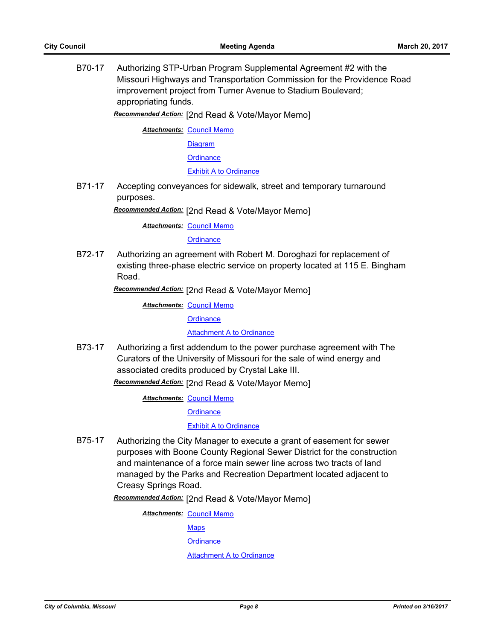B70-17 Authorizing STP-Urban Program Supplemental Agreement #2 with the Missouri Highways and Transportation Commission for the Providence Road improvement project from Turner Avenue to Stadium Boulevard; appropriating funds.

*Recommended Action:* [2nd Read & Vote/Mayor Memo]

**Attachments: [Council Memo](http://gocolumbiamo.legistar.com/gateway.aspx?M=F&ID=43a88d0c-445a-4051-b087-23d7de53571a.docx)** 

[Diagram](http://gocolumbiamo.legistar.com/gateway.aspx?M=F&ID=ca4e02a6-ee5c-470f-8061-e9283e74fc7b.pdf)

**[Ordinance](http://gocolumbiamo.legistar.com/gateway.aspx?M=F&ID=931f8c9d-0046-440d-83eb-11c536740552.doc)** 

## [Exhibit A to Ordinance](http://gocolumbiamo.legistar.com/gateway.aspx?M=F&ID=dcd91faf-22b9-416e-8954-e07a3d663875.pdf)

B71-17 Accepting conveyances for sidewalk, street and temporary turnaround purposes.

*Recommended Action:* [2nd Read & Vote/Mayor Memo]

**Attachments: [Council Memo](http://gocolumbiamo.legistar.com/gateway.aspx?M=F&ID=9c10c5c9-0438-4254-a65f-e58b7e2203c3.docx)** 

**[Ordinance](http://gocolumbiamo.legistar.com/gateway.aspx?M=F&ID=cec269ba-1483-42fe-b49c-d22962e59f9a.doc)** 

B72-17 Authorizing an agreement with Robert M. Doroghazi for replacement of existing three-phase electric service on property located at 115 E. Bingham Road.

*Recommended Action:* [2nd Read & Vote/Mayor Memo]

**Attachments: [Council Memo](http://gocolumbiamo.legistar.com/gateway.aspx?M=F&ID=bf8eb6e7-253e-46f9-bd38-5593a3df7521.docx)** 

**[Ordinance](http://gocolumbiamo.legistar.com/gateway.aspx?M=F&ID=b3e96113-cbfc-45ef-902b-daa890bf6d40.doc)** 

[Attachment A to Ordinance](http://gocolumbiamo.legistar.com/gateway.aspx?M=F&ID=dc3ecd4d-edf1-49cb-b9d7-55aad19c7816.pdf)

B73-17 Authorizing a first addendum to the power purchase agreement with The Curators of the University of Missouri for the sale of wind energy and associated credits produced by Crystal Lake III.

*Recommended Action:* [2nd Read & Vote/Mayor Memo]

**Attachments: [Council Memo](http://gocolumbiamo.legistar.com/gateway.aspx?M=F&ID=d6900e66-05e5-46bf-b1ee-2ae389b97f60.docx)** 

**[Ordinance](http://gocolumbiamo.legistar.com/gateway.aspx?M=F&ID=9bbca353-8df6-4425-846e-8bb5d8ab46ec.doc)** 

[Exhibit A to Ordinance](http://gocolumbiamo.legistar.com/gateway.aspx?M=F&ID=0a9fa089-a508-4176-bbcf-bbc4b80bd6b9.pdf)

B75-17 Authorizing the City Manager to execute a grant of easement for sewer purposes with Boone County Regional Sewer District for the construction and maintenance of a force main sewer line across two tracts of land managed by the Parks and Recreation Department located adjacent to Creasy Springs Road.

*Recommended Action:* [2nd Read & Vote/Mayor Memo]

**Attachments: [Council Memo](http://gocolumbiamo.legistar.com/gateway.aspx?M=F&ID=ef4c94da-3586-43f0-bbf4-c9450daf5678.docx)** 

**[Maps](http://gocolumbiamo.legistar.com/gateway.aspx?M=F&ID=b83cff52-6d2c-4f1a-9b93-9021acec9620.pdf)** 

**[Ordinance](http://gocolumbiamo.legistar.com/gateway.aspx?M=F&ID=4c7c8d78-bcd8-4e0b-848b-eb98cb5e31c0.doc)** 

[Attachment A to Ordinance](http://gocolumbiamo.legistar.com/gateway.aspx?M=F&ID=715ba673-95e5-42d5-9d88-34ad71a65101.pdf)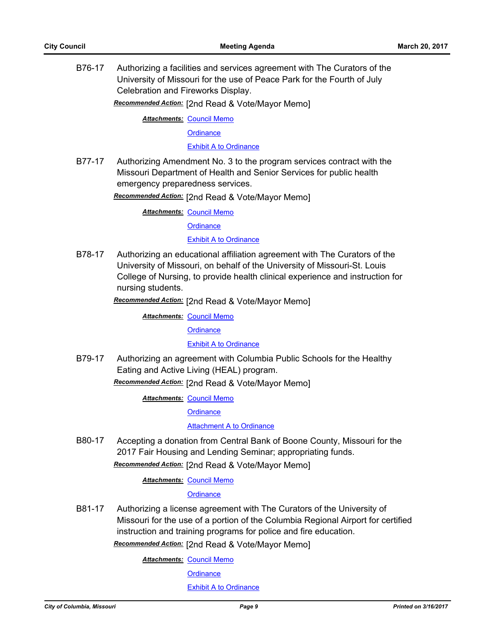B76-17 Authorizing a facilities and services agreement with The Curators of the University of Missouri for the use of Peace Park for the Fourth of July Celebration and Fireworks Display.

*Recommended Action:* [2nd Read & Vote/Mayor Memo]

**Attachments: [Council Memo](http://gocolumbiamo.legistar.com/gateway.aspx?M=F&ID=b1baf75e-c856-4807-b16b-aef1e3191d55.docx)** 

**[Ordinance](http://gocolumbiamo.legistar.com/gateway.aspx?M=F&ID=ac206b92-30d3-4455-b0cb-717474084a64.doc)** 

[Exhibit A to Ordinance](http://gocolumbiamo.legistar.com/gateway.aspx?M=F&ID=b2a9835a-2bc9-433c-9769-ba775c7ba01a.pdf)

B77-17 Authorizing Amendment No. 3 to the program services contract with the Missouri Department of Health and Senior Services for public health emergency preparedness services.

*Recommended Action:* [2nd Read & Vote/Mayor Memo]

**Attachments: [Council Memo](http://gocolumbiamo.legistar.com/gateway.aspx?M=F&ID=b212455d-a69e-4a8b-836e-844482b63ba3.docx)** 

**[Ordinance](http://gocolumbiamo.legistar.com/gateway.aspx?M=F&ID=0f209dce-3a4f-40aa-a810-d292c0af7fb3.doc)** 

**[Exhibit A to Ordinance](http://gocolumbiamo.legistar.com/gateway.aspx?M=F&ID=1490653e-8c22-4bba-991d-d1d70068fb5c.pdf)** 

B78-17 Authorizing an educational affiliation agreement with The Curators of the University of Missouri, on behalf of the University of Missouri-St. Louis College of Nursing, to provide health clinical experience and instruction for nursing students.

*Recommended Action:* [2nd Read & Vote/Mayor Memo]

**Attachments: [Council Memo](http://gocolumbiamo.legistar.com/gateway.aspx?M=F&ID=60ef705d-d1e2-4f19-8776-7d6525875556.docx)** 

**[Ordinance](http://gocolumbiamo.legistar.com/gateway.aspx?M=F&ID=87dc47c8-f623-4552-a24d-157f7331db3a.doc)** 

[Exhibit A to Ordinance](http://gocolumbiamo.legistar.com/gateway.aspx?M=F&ID=1cb93dcd-56bc-4cb0-a7be-5b8db4cc01ca.pdf)

B79-17 Authorizing an agreement with Columbia Public Schools for the Healthy Eating and Active Living (HEAL) program.

*Recommended Action:* [2nd Read & Vote/Mayor Memo]

**Attachments: [Council Memo](http://gocolumbiamo.legistar.com/gateway.aspx?M=F&ID=878cf4fc-a7b1-4190-b842-4124baf46241.docx)** 

**[Ordinance](http://gocolumbiamo.legistar.com/gateway.aspx?M=F&ID=1d6e3b89-1c2e-4993-871c-39fea780a187.doc)** 

[Attachment A to Ordinance](http://gocolumbiamo.legistar.com/gateway.aspx?M=F&ID=70d6c47b-1494-45c1-b49f-f76478e80f1b.pdf)

B80-17 Accepting a donation from Central Bank of Boone County, Missouri for the 2017 Fair Housing and Lending Seminar; appropriating funds.

*Recommended Action:* [2nd Read & Vote/Mayor Memo]

**Attachments: [Council Memo](http://gocolumbiamo.legistar.com/gateway.aspx?M=F&ID=1da1d352-c9e4-4092-8855-43b25d647fea.docx)** 

**[Ordinance](http://gocolumbiamo.legistar.com/gateway.aspx?M=F&ID=3bf8447b-451e-4004-ae7c-0220e6173996.doc)** 

B81-17 Authorizing a license agreement with The Curators of the University of Missouri for the use of a portion of the Columbia Regional Airport for certified instruction and training programs for police and fire education.

*Recommended Action:* [2nd Read & Vote/Mayor Memo]

**Attachments: [Council Memo](http://gocolumbiamo.legistar.com/gateway.aspx?M=F&ID=60638a55-a3ad-4518-b342-da1d8b2616bf.docx)** 

**[Ordinance](http://gocolumbiamo.legistar.com/gateway.aspx?M=F&ID=9e38b1fd-3896-4a44-8b59-ad6aa15a5c3f.doc)**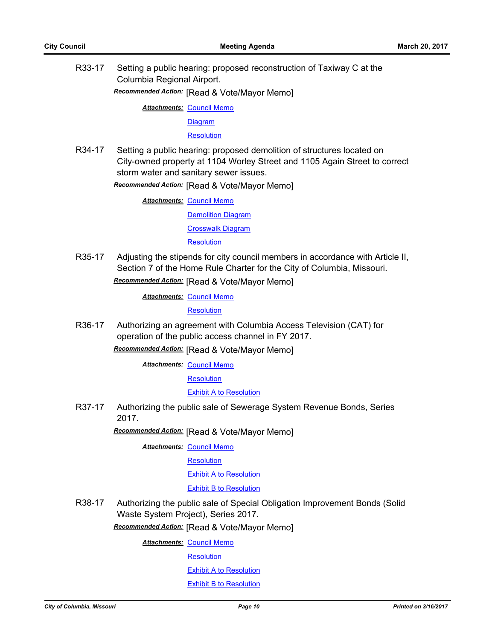R33-17 Setting a public hearing: proposed reconstruction of Taxiway C at the Columbia Regional Airport.

*Recommended Action:* [Read & Vote/Mayor Memo]

**Attachments: [Council Memo](http://gocolumbiamo.legistar.com/gateway.aspx?M=F&ID=b8e17e0c-a01d-4bc4-83bb-4f9e8843ce72.docx)** 

**[Diagram](http://gocolumbiamo.legistar.com/gateway.aspx?M=F&ID=18c642b9-a2d1-42b6-853c-705cfb1a6c79.pdf)** 

**[Resolution](http://gocolumbiamo.legistar.com/gateway.aspx?M=F&ID=989ce02a-efb2-4090-a78b-336bd97653c1.doc)** 

R34-17 Setting a public hearing: proposed demolition of structures located on City-owned property at 1104 Worley Street and 1105 Again Street to correct storm water and sanitary sewer issues.

*Recommended Action:* [Read & Vote/Mayor Memo]

**Attachments: [Council Memo](http://gocolumbiamo.legistar.com/gateway.aspx?M=F&ID=c7fd8dd6-9b51-4c7b-90bc-46736ffa1996.docx) [Demolition Diagram](http://gocolumbiamo.legistar.com/gateway.aspx?M=F&ID=110e5d84-b9bb-427f-ac8e-33510be4eed3.pdf)** [Crosswalk Diagram](http://gocolumbiamo.legistar.com/gateway.aspx?M=F&ID=7eab1c8a-2240-4d59-abd9-6bd71991f1d0.pdf) **[Resolution](http://gocolumbiamo.legistar.com/gateway.aspx?M=F&ID=483b16e1-d931-450f-8a3e-f30f10a475d8.doc)** 

R35-17 Adjusting the stipends for city council members in accordance with Article II, Section 7 of the Home Rule Charter for the City of Columbia, Missouri. *Recommended Action:* [Read & Vote/Mayor Memo]

**Attachments: [Council Memo](http://gocolumbiamo.legistar.com/gateway.aspx?M=F&ID=9003f4eb-6339-49ae-ae20-86e2ecf6df4c.docx)** 

**[Resolution](http://gocolumbiamo.legistar.com/gateway.aspx?M=F&ID=3a8e9c66-a5d7-4758-ad96-04683858de1f.doc)** 

R36-17 Authorizing an agreement with Columbia Access Television (CAT) for operation of the public access channel in FY 2017.

*Recommended Action:* [Read & Vote/Mayor Memo]

**Attachments: [Council Memo](http://gocolumbiamo.legistar.com/gateway.aspx?M=F&ID=80a8c955-daeb-4848-b031-54c3e9c61242.docx)** 

**[Resolution](http://gocolumbiamo.legistar.com/gateway.aspx?M=F&ID=3ad2c78e-ae08-49e9-86c8-51a2593b2039.doc)** 

[Exhibit A to Resolution](http://gocolumbiamo.legistar.com/gateway.aspx?M=F&ID=c33d59a1-6c46-4102-8810-4e970c0dbc8b.pdf)

R37-17 Authorizing the public sale of Sewerage System Revenue Bonds, Series 2017.

*Recommended Action:* [Read & Vote/Mayor Memo]

**Attachments: [Council Memo](http://gocolumbiamo.legistar.com/gateway.aspx?M=F&ID=7388e551-3b59-409f-ba07-1e111524f153.docx)** 

#### **[Resolution](http://gocolumbiamo.legistar.com/gateway.aspx?M=F&ID=194cec28-46fa-48e3-aa1b-c075a4cf823f.doc)**

#### [Exhibit A to Resolution](http://gocolumbiamo.legistar.com/gateway.aspx?M=F&ID=325f6676-6f62-42ca-b9a6-d7baa984bd63.pdf)

### [Exhibit B to Resolution](http://gocolumbiamo.legistar.com/gateway.aspx?M=F&ID=55d7e2a3-12d7-4e47-b50a-95e594450d63.pdf)

R38-17 Authorizing the public sale of Special Obligation Improvement Bonds (Solid Waste System Project), Series 2017.

*Recommended Action:* [Read & Vote/Mayor Memo]

**Attachments: [Council Memo](http://gocolumbiamo.legistar.com/gateway.aspx?M=F&ID=c0cee1d4-908a-4d9d-8e9d-b6c4f8a3bc51.docx)** 

**[Resolution](http://gocolumbiamo.legistar.com/gateway.aspx?M=F&ID=4ae062eb-682c-4478-9681-956d3169760d.doc)** 

[Exhibit A to Resolution](http://gocolumbiamo.legistar.com/gateway.aspx?M=F&ID=0cbe4831-f04b-4225-bb08-fee516d6d2a7.pdf)

[Exhibit B to Resolution](http://gocolumbiamo.legistar.com/gateway.aspx?M=F&ID=1369c02d-005c-4be3-a223-14adff9d8f7f.pdf)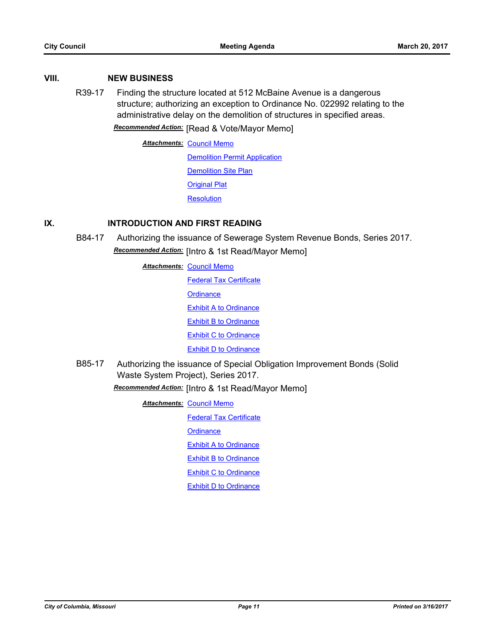## **VIII. NEW BUSINESS**

R39-17 Finding the structure located at 512 McBaine Avenue is a dangerous structure; authorizing an exception to Ordinance No. 022992 relating to the administrative delay on the demolition of structures in specified areas.

*Recommended Action:* [Read & Vote/Mayor Memo]

**Attachments: [Council Memo](http://gocolumbiamo.legistar.com/gateway.aspx?M=F&ID=c059ddd2-8807-4a99-9084-19e1829fad4b.docx) [Demolition Permit Application](http://gocolumbiamo.legistar.com/gateway.aspx?M=F&ID=e9ddbffd-e6a9-4003-a3a0-ccc1bb01087f.pdf) [Demolition Site Plan](http://gocolumbiamo.legistar.com/gateway.aspx?M=F&ID=3ab924e2-8754-4f33-ba9f-f43127c289d3.pdf)** [Original Plat](http://gocolumbiamo.legistar.com/gateway.aspx?M=F&ID=6a6b8c1f-c57f-44b8-9794-245beaf51d78.pdf) **[Resolution](http://gocolumbiamo.legistar.com/gateway.aspx?M=F&ID=75bbdc4f-0f59-450e-a562-5dc244d1e975.doc)** 

# **IX. INTRODUCTION AND FIRST READING**

B84-17 Authorizing the issuance of Sewerage System Revenue Bonds, Series 2017.

*Recommended Action:* [Intro & 1st Read/Mayor Memo]

**Attachments: [Council Memo](http://gocolumbiamo.legistar.com/gateway.aspx?M=F&ID=990c004f-7588-48c7-ac3e-9339e725c690.docx)** [Federal Tax Certificate](http://gocolumbiamo.legistar.com/gateway.aspx?M=F&ID=22b93cc4-3672-4702-8393-52949a8f2d03.doc) **[Ordinance](http://gocolumbiamo.legistar.com/gateway.aspx?M=F&ID=b2f933c2-aea4-4354-af2f-cdb8b50ebb6b.doc)** [Exhibit A to Ordinance](http://gocolumbiamo.legistar.com/gateway.aspx?M=F&ID=c3c0e1c8-206b-41a9-8c3e-e23fbc6902ba.pdf) [Exhibit B to Ordinance](http://gocolumbiamo.legistar.com/gateway.aspx?M=F&ID=049b0826-0b93-4213-bf3d-52f1ffa1ed31.pdf) [Exhibit C to Ordinance](http://gocolumbiamo.legistar.com/gateway.aspx?M=F&ID=10cc82cb-f274-49b0-b925-1d565f1c4eeb.pdf) [Exhibit D to Ordinance](http://gocolumbiamo.legistar.com/gateway.aspx?M=F&ID=9e6e909c-c146-48ec-8586-89ecd97d0267.pdf)

B85-17 Authorizing the issuance of Special Obligation Improvement Bonds (Solid Waste System Project), Series 2017.

*Recommended Action:* [Intro & 1st Read/Mayor Memo]

**Attachments: [Council Memo](http://gocolumbiamo.legistar.com/gateway.aspx?M=F&ID=beecddf3-ed5f-4b5b-b3a6-79a616c1d2df.docx)** 

[Federal Tax Certificate](http://gocolumbiamo.legistar.com/gateway.aspx?M=F&ID=6c55f1fd-4e67-44da-bc04-c71e10400fd0.doc)

**[Ordinance](http://gocolumbiamo.legistar.com/gateway.aspx?M=F&ID=3e9981e4-c402-4b25-8cb7-4b494868c162.doc)** 

**[Exhibit A to Ordinance](http://gocolumbiamo.legistar.com/gateway.aspx?M=F&ID=f2d75964-f387-494d-89ce-02a62cab1db2.pdf)** 

[Exhibit B to Ordinance](http://gocolumbiamo.legistar.com/gateway.aspx?M=F&ID=feb45b45-99da-41c9-8284-b85e49937f53.pdf)

**[Exhibit C to Ordinance](http://gocolumbiamo.legistar.com/gateway.aspx?M=F&ID=175fd9a1-82f1-4fe2-bdc1-04bae0a3262c.pdf)**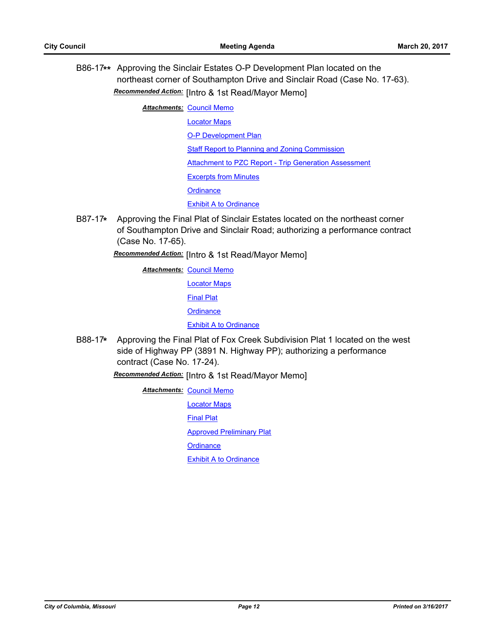B86-17**\*\*** Approving the Sinclair Estates O-P Development Plan located on the northeast corner of Southampton Drive and Sinclair Road (Case No. 17-63). *Recommended Action:* [Intro & 1st Read/Mayor Memo]

**Attachments: [Council Memo](http://gocolumbiamo.legistar.com/gateway.aspx?M=F&ID=623dd934-3890-4109-a4cf-cce2a590bc5c.docx)** 

[Locator Maps](http://gocolumbiamo.legistar.com/gateway.aspx?M=F&ID=be853fbb-4f47-44ac-880b-28992facd8d5.pdf)

[O-P Development Plan](http://gocolumbiamo.legistar.com/gateway.aspx?M=F&ID=c05c2d22-75bc-44a9-a492-20f7346ffc04.pdf)

[Staff Report to Planning and Zoning Commission](http://gocolumbiamo.legistar.com/gateway.aspx?M=F&ID=0c06977f-344c-4301-9e05-35a85c4036d7.docx)

[Attachment to PZC Report - Trip Generation Assessment](http://gocolumbiamo.legistar.com/gateway.aspx?M=F&ID=360b76b7-179c-4457-ba32-64363fd59b4c.pdf)

[Excerpts from Minutes](http://gocolumbiamo.legistar.com/gateway.aspx?M=F&ID=9785ce5b-7c32-4e7d-beae-576e270417f1.docx)

**[Ordinance](http://gocolumbiamo.legistar.com/gateway.aspx?M=F&ID=2517a2f1-e1ca-444d-a70e-94ea224deeaf.doc)** 

[Exhibit A to Ordinance](http://gocolumbiamo.legistar.com/gateway.aspx?M=F&ID=25d3920e-4150-4464-87d9-5f311a242b97.pdf)

B87-17**\*** Approving the Final Plat of Sinclair Estates located on the northeast corner of Southampton Drive and Sinclair Road; authorizing a performance contract (Case No. 17-65).

*Recommended Action:* [Intro & 1st Read/Mayor Memo]

**Attachments: [Council Memo](http://gocolumbiamo.legistar.com/gateway.aspx?M=F&ID=041c375f-1237-46e2-b895-47cf89106d1e.docx)** 

[Locator Maps](http://gocolumbiamo.legistar.com/gateway.aspx?M=F&ID=e4150dae-755a-4530-b752-629dd597bb8f.pdf)

[Final Plat](http://gocolumbiamo.legistar.com/gateway.aspx?M=F&ID=5641fc83-3829-47ab-99d1-8d43d767eb7e.pdf)

**[Ordinance](http://gocolumbiamo.legistar.com/gateway.aspx?M=F&ID=dbb1167a-5ed3-4f89-a294-012f4b130dee.doc)** 

**[Exhibit A to Ordinance](http://gocolumbiamo.legistar.com/gateway.aspx?M=F&ID=402fc846-c53e-455c-b243-55a5d5e22da2.pdf)** 

B88-17**\*** Approving the Final Plat of Fox Creek Subdivision Plat 1 located on the west side of Highway PP (3891 N. Highway PP); authorizing a performance contract (Case No. 17-24).

*Recommended Action:* [Intro & 1st Read/Mayor Memo]

**Attachments: [Council Memo](http://gocolumbiamo.legistar.com/gateway.aspx?M=F&ID=3e77bc48-a43d-48f8-8579-0f2762645e67.docx)** 

[Locator Maps](http://gocolumbiamo.legistar.com/gateway.aspx?M=F&ID=878cbd81-d9e7-49db-a88c-846b724a4983.pdf)

[Final Plat](http://gocolumbiamo.legistar.com/gateway.aspx?M=F&ID=99c478a4-06c2-4864-8996-cf02ea07fc12.pdf)

[Approved Preliminary Plat](http://gocolumbiamo.legistar.com/gateway.aspx?M=F&ID=3a76a0b0-13f4-4b7e-9a7b-97bc07cf0e1c.pdf)

**[Ordinance](http://gocolumbiamo.legistar.com/gateway.aspx?M=F&ID=4f9f81f5-523f-48df-8166-d2a20824f776.doc)**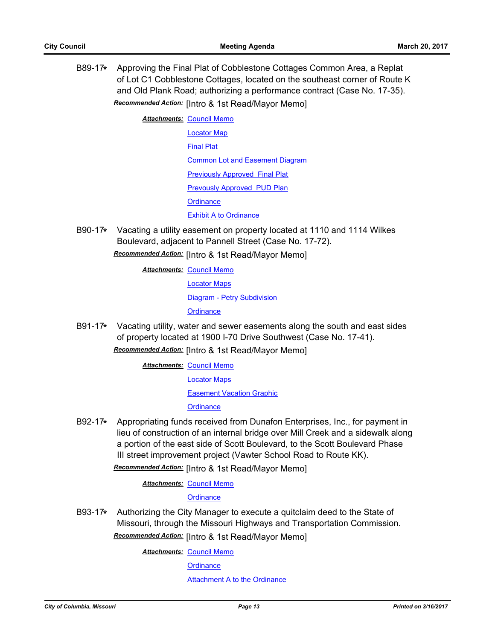B89-17**\*** Approving the Final Plat of Cobblestone Cottages Common Area, a Replat of Lot C1 Cobblestone Cottages, located on the southeast corner of Route K and Old Plank Road; authorizing a performance contract (Case No. 17-35).

*Recommended Action:* [Intro & 1st Read/Mayor Memo]

**Attachments: [Council Memo](http://gocolumbiamo.legistar.com/gateway.aspx?M=F&ID=1a3704ba-223f-4b8a-8030-71924cb5d7b1.docx)** [Locator Map](http://gocolumbiamo.legistar.com/gateway.aspx?M=F&ID=7c029cfc-b513-43c7-bced-29d4c4514a81.pdf) [Final Plat](http://gocolumbiamo.legistar.com/gateway.aspx?M=F&ID=0fb99797-46eb-4cbd-8da9-6f6052c3b0d5.pdf) [Common Lot and Easement Diagram](http://gocolumbiamo.legistar.com/gateway.aspx?M=F&ID=499d2fa9-9bbc-47b5-9800-d4d5e254b1d6.pdf) **[Previously Approved Final Plat](http://gocolumbiamo.legistar.com/gateway.aspx?M=F&ID=5d334ee4-fc94-4832-b093-80c75b8d7659.pdf)** [Prevously Approved PUD Plan](http://gocolumbiamo.legistar.com/gateway.aspx?M=F&ID=69988116-d5e1-49e3-9dd8-8079deab0239.pdf) **[Ordinance](http://gocolumbiamo.legistar.com/gateway.aspx?M=F&ID=40915ee2-25e5-47a4-bacc-4931c1c505d5.doc)** [Exhibit A to Ordinance](http://gocolumbiamo.legistar.com/gateway.aspx?M=F&ID=14fa19c1-1d6e-49a2-897f-44ef48b433d3.doc)

B90-17**\*** Vacating a utility easement on property located at 1110 and 1114 Wilkes Boulevard, adjacent to Pannell Street (Case No. 17-72).

*Recommended Action:* [Intro & 1st Read/Mayor Memo]

**Attachments: [Council Memo](http://gocolumbiamo.legistar.com/gateway.aspx?M=F&ID=6a4c905b-f288-47ae-b0f0-e4f28b9b7e2a.docx)** 

[Locator Maps](http://gocolumbiamo.legistar.com/gateway.aspx?M=F&ID=f17101dc-c02a-4450-81d1-18ad753cc953.pdf)

[Diagram - Petry Subdivision](http://gocolumbiamo.legistar.com/gateway.aspx?M=F&ID=da6db7cc-1e65-4142-8af7-4d85ac0fe16c.pdf)

**[Ordinance](http://gocolumbiamo.legistar.com/gateway.aspx?M=F&ID=98bf4900-4fe4-4f1d-b012-251c1faf535f.doc)** 

B91-17**\*** Vacating utility, water and sewer easements along the south and east sides of property located at 1900 I-70 Drive Southwest (Case No. 17-41).

*Recommended Action:* [Intro & 1st Read/Mayor Memo]

**Attachments: [Council Memo](http://gocolumbiamo.legistar.com/gateway.aspx?M=F&ID=c6c48235-3d4a-4b1b-a5f7-a39a6e0e32e7.docx)** 

[Locator Maps](http://gocolumbiamo.legistar.com/gateway.aspx?M=F&ID=51542002-a98a-4908-a7e9-d2301d9b4f19.pdf)

[Easement Vacation Graphic](http://gocolumbiamo.legistar.com/gateway.aspx?M=F&ID=fcd896f5-0049-4a0d-8c4a-d7383ba9a1f6.pdf)

**[Ordinance](http://gocolumbiamo.legistar.com/gateway.aspx?M=F&ID=9f484547-41e2-4866-9d5e-33015dae49fe.doc)** 

B92-17**\*** Appropriating funds received from Dunafon Enterprises, Inc., for payment in lieu of construction of an internal bridge over Mill Creek and a sidewalk along a portion of the east side of Scott Boulevard, to the Scott Boulevard Phase III street improvement project (Vawter School Road to Route KK).

*Recommended Action:* [Intro & 1st Read/Mayor Memo]

**Attachments: [Council Memo](http://gocolumbiamo.legistar.com/gateway.aspx?M=F&ID=05ac2d69-f8a7-4438-b8df-e47223c19444.docx)** 

**[Ordinance](http://gocolumbiamo.legistar.com/gateway.aspx?M=F&ID=3f1f976c-5b36-4f6a-b909-b15927e67d17.doc)** 

B93-17**\*** Authorizing the City Manager to execute a quitclaim deed to the State of Missouri, through the Missouri Highways and Transportation Commission. *Recommended Action:* [Intro & 1st Read/Mayor Memo]

**Attachments: [Council Memo](http://gocolumbiamo.legistar.com/gateway.aspx?M=F&ID=6640a320-1643-4845-a596-80f04bdf23ae.docx)** 

**[Ordinance](http://gocolumbiamo.legistar.com/gateway.aspx?M=F&ID=7663e29f-7a98-44ee-bffb-8adcf208b5a5.doc)** 

[Attachment A to the Ordinance](http://gocolumbiamo.legistar.com/gateway.aspx?M=F&ID=b2e6cf21-7e4b-47b1-acfe-b8323cf1cbc2.doc)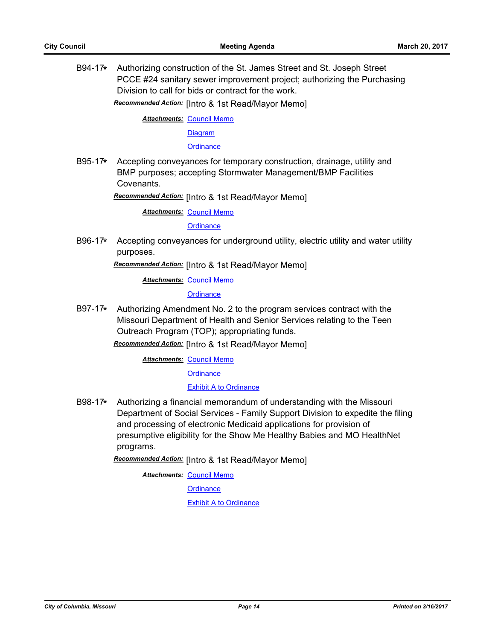B94-17**\*** Authorizing construction of the St. James Street and St. Joseph Street PCCE #24 sanitary sewer improvement project; authorizing the Purchasing Division to call for bids or contract for the work.

*Recommended Action:* [Intro & 1st Read/Mayor Memo]

**Attachments: [Council Memo](http://gocolumbiamo.legistar.com/gateway.aspx?M=F&ID=e35ad261-2d1d-48dd-9f34-5caa66b9f77e.docx)** 

**[Diagram](http://gocolumbiamo.legistar.com/gateway.aspx?M=F&ID=d660095a-c6ff-49d6-be24-3d1b503e6ad5.pdf)** 

**[Ordinance](http://gocolumbiamo.legistar.com/gateway.aspx?M=F&ID=963ecdb9-fb43-49dd-8390-f05ce6e6f9c1.doc)** 

B95-17**\*** Accepting conveyances for temporary construction, drainage, utility and BMP purposes; accepting Stormwater Management/BMP Facilities Covenants.

*Recommended Action:* [Intro & 1st Read/Mayor Memo]

**Attachments: [Council Memo](http://gocolumbiamo.legistar.com/gateway.aspx?M=F&ID=07c8c511-c57f-4b39-8830-5d593d24b265.docx)** 

**[Ordinance](http://gocolumbiamo.legistar.com/gateway.aspx?M=F&ID=f0e5ec52-7a5d-4209-8bab-c4e06f5dedca.doc)** 

B96-17**\*** Accepting conveyances for underground utility, electric utility and water utility purposes.

*Recommended Action:* [Intro & 1st Read/Mayor Memo]

**Attachments: [Council Memo](http://gocolumbiamo.legistar.com/gateway.aspx?M=F&ID=d9498402-c4e7-470d-beb1-cc038af18781.docx)** 

**[Ordinance](http://gocolumbiamo.legistar.com/gateway.aspx?M=F&ID=7979b79a-8295-4fb6-bf03-a75b6a64413a.doc)** 

B97-17**\*** Authorizing Amendment No. 2 to the program services contract with the Missouri Department of Health and Senior Services relating to the Teen Outreach Program (TOP); appropriating funds.

*Recommended Action:* [Intro & 1st Read/Mayor Memo]

**Attachments: [Council Memo](http://gocolumbiamo.legistar.com/gateway.aspx?M=F&ID=398ac5d1-34bb-457f-8c94-84f004d235dc.docx)** 

**[Ordinance](http://gocolumbiamo.legistar.com/gateway.aspx?M=F&ID=6b2982b0-17ef-47e8-92db-a34f3f57c5d1.doc)** 

[Exhibit A to Ordinance](http://gocolumbiamo.legistar.com/gateway.aspx?M=F&ID=3df7aca2-fb52-4157-b9c1-473384c3278f.pdf)

B98-17**\*** Authorizing a financial memorandum of understanding with the Missouri Department of Social Services - Family Support Division to expedite the filing and processing of electronic Medicaid applications for provision of presumptive eligibility for the Show Me Healthy Babies and MO HealthNet programs.

*Recommended Action:* [Intro & 1st Read/Mayor Memo]

**Attachments: [Council Memo](http://gocolumbiamo.legistar.com/gateway.aspx?M=F&ID=058bffe2-2bec-4333-863b-33ee35d22d2d.docx)** 

**[Ordinance](http://gocolumbiamo.legistar.com/gateway.aspx?M=F&ID=bd3e9d67-6d83-4bbc-aba4-588e57d963e6.doc)**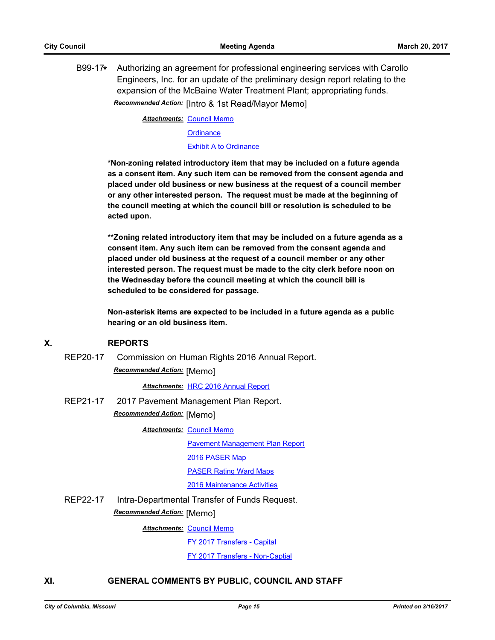B99-17**\*** Authorizing an agreement for professional engineering services with Carollo Engineers, Inc. for an update of the preliminary design report relating to the expansion of the McBaine Water Treatment Plant; appropriating funds.

*Recommended Action:* [Intro & 1st Read/Mayor Memo]

**Attachments: [Council Memo](http://gocolumbiamo.legistar.com/gateway.aspx?M=F&ID=d9b26d74-5d5d-4303-a497-6575f6ac4f7d.docx)** 

**[Ordinance](http://gocolumbiamo.legistar.com/gateway.aspx?M=F&ID=c45a80b3-460c-4b1c-89bd-8554c4711f77.doc)** 

[Exhibit A to Ordinance](http://gocolumbiamo.legistar.com/gateway.aspx?M=F&ID=bbd45de1-e4ac-4a85-a96f-4a059abd30a0.pdf)

**\*Non-zoning related introductory item that may be included on a future agenda as a consent item. Any such item can be removed from the consent agenda and placed under old business or new business at the request of a council member or any other interested person. The request must be made at the beginning of the council meeting at which the council bill or resolution is scheduled to be acted upon.** 

**\*\*Zoning related introductory item that may be included on a future agenda as a consent item. Any such item can be removed from the consent agenda and placed under old business at the request of a council member or any other interested person. The request must be made to the city clerk before noon on the Wednesday before the council meeting at which the council bill is scheduled to be considered for passage.**

**Non-asterisk items are expected to be included in a future agenda as a public hearing or an old business item.**

# **X. REPORTS**

REP20-17 Commission on Human Rights 2016 Annual Report. *Recommended Action:* [Memo]

*Attachments:* [HRC 2016 Annual Report](http://gocolumbiamo.legistar.com/gateway.aspx?M=F&ID=e8430d61-3569-404f-bd2e-0bb30ec4d612.pdf)

REP21-17 2017 Pavement Management Plan Report.

*Recommended Action:* [Memo]

**Attachments: [Council Memo](http://gocolumbiamo.legistar.com/gateway.aspx?M=F&ID=7631b2a8-6226-41bf-95e1-8207d47446bb.docx)** 

[Pavement Management Plan Report](http://gocolumbiamo.legistar.com/gateway.aspx?M=F&ID=69a9f5af-4a14-4f0c-9fa6-16e6cf826917.pdf)

[2016 PASER Map](http://gocolumbiamo.legistar.com/gateway.aspx?M=F&ID=8119b86a-c574-4507-8cf2-dbcb33f13e9d.pdf)

[PASER Rating Ward Maps](http://gocolumbiamo.legistar.com/gateway.aspx?M=F&ID=5575bea2-0c9f-4341-b189-67c8599028a2.pdf)

[2016 Maintenance Activities](http://gocolumbiamo.legistar.com/gateway.aspx?M=F&ID=fa28fbf2-08a3-46d3-a82c-2250d2a5e229.pdf)

REP22-17 Intra-Departmental Transfer of Funds Request. *Recommended Action:* [Memo]

**Attachments: [Council Memo](http://gocolumbiamo.legistar.com/gateway.aspx?M=F&ID=3adcda91-c0fb-4475-b5a8-3bd3a887b99b.docx)** 

[FY 2017 Transfers - Capital](http://gocolumbiamo.legistar.com/gateway.aspx?M=F&ID=08a58487-7dc9-464a-9566-9604dd94b202.pdf)

[FY 2017 Transfers - Non-Captial](http://gocolumbiamo.legistar.com/gateway.aspx?M=F&ID=6b9833b4-7033-4ad4-910c-5cf6099523b2.pdf)

**XI. GENERAL COMMENTS BY PUBLIC, COUNCIL AND STAFF**